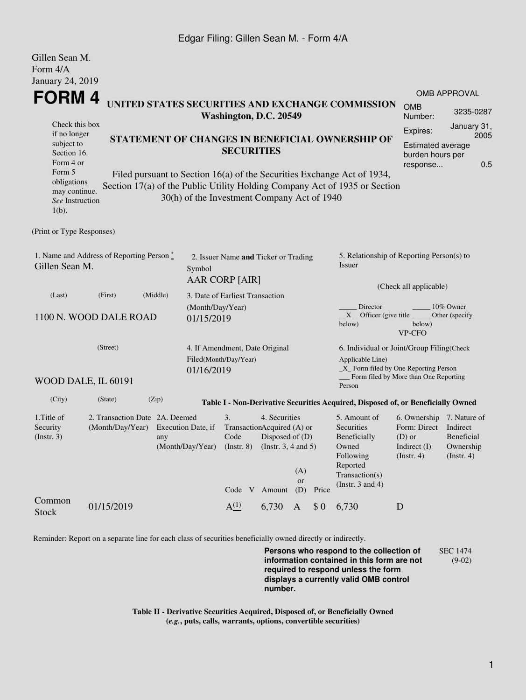## Edgar Filing: Gillen Sean M. - Form 4/A

| Gillen Sean M.<br>Form 4/A                                                                                     |                                                                       |       |                                                 |                                                                   |                                             |                              |                                                                     |                                                                                                                                                       |                                                                                                                                           |                                                    |  |  |  |
|----------------------------------------------------------------------------------------------------------------|-----------------------------------------------------------------------|-------|-------------------------------------------------|-------------------------------------------------------------------|---------------------------------------------|------------------------------|---------------------------------------------------------------------|-------------------------------------------------------------------------------------------------------------------------------------------------------|-------------------------------------------------------------------------------------------------------------------------------------------|----------------------------------------------------|--|--|--|
| January 24, 2019                                                                                               |                                                                       |       |                                                 |                                                                   |                                             |                              |                                                                     |                                                                                                                                                       |                                                                                                                                           | <b>OMB APPROVAL</b>                                |  |  |  |
| <b>FORM4</b>                                                                                                   |                                                                       |       |                                                 | Washington, D.C. 20549                                            |                                             |                              |                                                                     | UNITED STATES SECURITIES AND EXCHANGE COMMISSION                                                                                                      | <b>OMB</b><br>Number:                                                                                                                     | 3235-0287                                          |  |  |  |
| Check this box<br>if no longer<br>STATEMENT OF CHANGES IN BENEFICIAL OWNERSHIP OF<br>subject to<br>Section 16. |                                                                       |       |                                                 |                                                                   | <b>SECURITIES</b>                           | Expires:                     | January 31,<br>2005<br><b>Estimated average</b><br>burden hours per |                                                                                                                                                       |                                                                                                                                           |                                                    |  |  |  |
| Form 4 or<br>Form 5<br>obligations<br>may continue.<br>See Instruction<br>$1(b)$ .                             |                                                                       |       | 30(h) of the Investment Company Act of 1940     |                                                                   |                                             |                              |                                                                     | Filed pursuant to Section 16(a) of the Securities Exchange Act of 1934,<br>Section 17(a) of the Public Utility Holding Company Act of 1935 or Section | response                                                                                                                                  | 0.5                                                |  |  |  |
| (Print or Type Responses)                                                                                      |                                                                       |       |                                                 |                                                                   |                                             |                              |                                                                     |                                                                                                                                                       |                                                                                                                                           |                                                    |  |  |  |
| 1. Name and Address of Reporting Person *<br>Gillen Sean M.                                                    |                                                                       |       |                                                 | 2. Issuer Name and Ticker or Trading<br>Symbol<br>AAR CORP [AIR]  |                                             |                              |                                                                     |                                                                                                                                                       | 5. Relationship of Reporting Person(s) to<br>Issuer                                                                                       |                                                    |  |  |  |
| (Middle)<br>(Last)<br>(First)<br>1100 N. WOOD DALE ROAD<br>(Street)<br>01/16/2019                              |                                                                       |       |                                                 | 3. Date of Earliest Transaction<br>(Month/Day/Year)<br>01/15/2019 |                                             |                              |                                                                     |                                                                                                                                                       | (Check all applicable)<br>Director<br>10% Owner<br>$X$ Officer (give title $\overline{\phantom{a}}$<br>Other (specify<br>below)<br>VP-CFO |                                                    |  |  |  |
|                                                                                                                |                                                                       |       |                                                 | 4. If Amendment, Date Original<br>Filed(Month/Day/Year)           |                                             |                              |                                                                     | 6. Individual or Joint/Group Filing(Check<br>Applicable Line)<br>$\_X$ Form filed by One Reporting Person<br>Form filed by More than One Reporting    |                                                                                                                                           |                                                    |  |  |  |
| WOOD DALE, IL 60191                                                                                            |                                                                       |       |                                                 |                                                                   |                                             |                              |                                                                     | Person                                                                                                                                                |                                                                                                                                           |                                                    |  |  |  |
| (City)                                                                                                         | (State)                                                               | (Zip) |                                                 |                                                                   |                                             |                              |                                                                     | Table I - Non-Derivative Securities Acquired, Disposed of, or Beneficially Owned                                                                      |                                                                                                                                           |                                                    |  |  |  |
| 1. Title of<br>Security<br>$($ Instr. 3 $)$                                                                    | 2. Transaction Date 2A. Deemed<br>(Month/Day/Year) Execution Date, if | any   | (Month/Day/Year) (Instr. 8) (Instr. 3, 4 and 5) | 3.<br>Code                                                        | 4. Securities<br>TransactionAcquired (A) or | Disposed of (D)<br>(A)<br>or |                                                                     | 5. Amount of<br>Securities<br>Beneficially<br>Owned<br>Following<br>Reported<br>Transaction(s)<br>(Instr. $3$ and $4$ )                               | 6. Ownership 7. Nature of<br>Form: Direct Indirect<br>$(D)$ or<br>Indirect $(I)$<br>(Insert. 4)                                           | <b>Beneficial</b><br>Ownership<br>$($ Instr. 4 $)$ |  |  |  |
| Common<br><b>Stock</b>                                                                                         | 01/15/2019                                                            |       |                                                 | A <sup>(1)</sup>                                                  | Code V Amount<br>6,730                      | (D)<br>A                     | Price<br>\$0                                                        | 6,730                                                                                                                                                 | D                                                                                                                                         |                                                    |  |  |  |

Reminder: Report on a separate line for each class of securities beneficially owned directly or indirectly.

**Persons who respond to the collection of information contained in this form are not required to respond unless the form displays a currently valid OMB control number.** SEC 1474 (9-02)

**Table II - Derivative Securities Acquired, Disposed of, or Beneficially Owned (***e.g.***, puts, calls, warrants, options, convertible securities)**